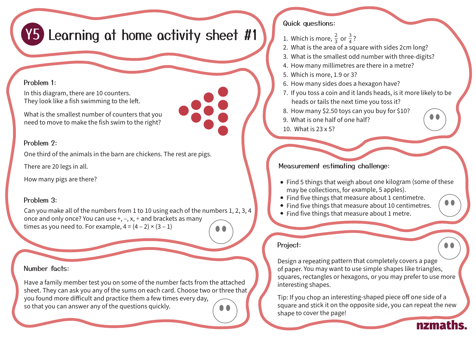# **Y5** Learning at home activity sheet #1

#### Problem 1:

In this diagram, there are 10 counters. They look like a fish swimming to the left.

What is the smallest number of counters that you need to move to make the fish swim to the right?

### Problem 2:

One third of the animals in the barn are chickens. The rest are pigs.

There are 20 legs in all.

How many pigs are there?

# Problem 3:

Can you make all of the numbers from 1 to 10 using each of the numbers 1, 2, 3, 4 once and only once? You can use +, –, x, ÷ and brackets as many times as you need to. For example,  $4 = (4 - 2) \times (3 - 1)$ 

#### Number facts:

Have a family member test you on some of the number facts from the attached sheet. They can ask you any of the sums on each card. Choose two or three that you found more difficult and practice them a few times every day, so that you can answer any of the questions quickly.

# Quick questions:

- 1. Which is more,  $\frac{2}{3}$  or  $\frac{3}{4}$ ? 3
- 2. What is the area of a square with sides 2cm long?
- 3. What is the smallest odd number with three-digits?
- 4. How many millimetres are there in a metre?
- 5. Which is more, 1.9 or 3?
- 6. How many sides does a hexagon have?
- 7. If you toss a coin and it lands heads, is it more likely to be heads or tails the next time you toss it?
- 8. How many \$2.50 toys can you buy for \$10?
- 9. What is one half of one half?
- 10. What is 23 x 5?

# Measurement estimating challenge:

- Find 5 things that weigh about one kilogram (some of these may be collections, for example, 5 apples).
- Find five things that measure about 1 centimetre.
- Find five things that measure about 10 centimetres.
- Find five things that measure about 1 metre.

# Project:

**. .** 

nzmaths.

 $\bullet$   $\bullet$ 

Design a repeating pattern that completely covers a page of paper. You may want to use simple shapes like triangles, squares, rectangles or hexagons, or you may prefer to use more interesting shapes.

Tip: If you chop an interesting-shaped piece off one side of a square and stick it on the opposite side, you can repeat the new shape to cover the page!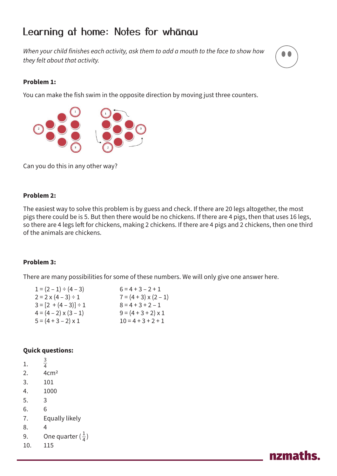# Learning at home: Notes for whanau

*When your child finishes each activity, ask them to add a mouth to the face to show how they felt about that activity.*



#### **Problem 1:**

You can make the fish swim in the opposite direction by moving just three counters.



Can you do this in any other way?

#### **Problem 2:**

The easiest way to solve this problem is by guess and check. If there are 20 legs altogether, the most pigs there could be is 5. But then there would be no chickens. If there are 4 pigs, then that uses 16 legs, so there are 4 legs left for chickens, making 2 chickens. If there are 4 pigs and 2 chickens, then one third of the animals are chickens.

#### **Problem 3:**

There are many possibilities for some of these numbers. We will only give one answer here.

| $1 = (2 - 1) \div (4 - 3)$    | $6 = 4 + 3 - 2 + 1$          |
|-------------------------------|------------------------------|
| $2 = 2 \times (4 - 3) \div 1$ | $7 = (4 + 3) \times (2 - 1)$ |
| $3 = [2 + (4 - 3)] \div 1$    | $8 = 4 + 3 + 2 - 1$          |
| $4 = (4 - 2) \times (3 - 1)$  | $9 = (4 + 3 + 2) \times 1$   |
| $5 = (4 + 3 - 2) \times 1$    | $10 = 4 + 3 + 2 + 1$         |

#### **Quick questions:**

| 1.  | $\frac{3}{4}$               |
|-----|-----------------------------|
| 2.  | 4cm <sup>2</sup>            |
| 3.  | 101                         |
| 4.  | 1000                        |
| 5.  | 3                           |
| 6.  | 6                           |
| 7.  | Equally likely              |
| 8.  | 4                           |
| 9.  | One quarter $(\frac{1}{4})$ |
| 10. | 115                         |
|     |                             |

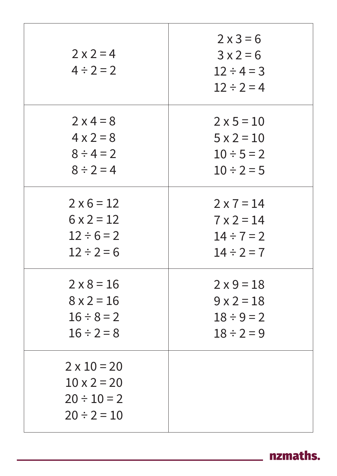| $2 \times 2 = 4$<br>$4 \div 2 = 2$                                               | $2 \times 3 = 6$<br>$3x2=6$<br>$12 \div 4 = 3$<br>$12 \div 2 = 4$ |
|----------------------------------------------------------------------------------|-------------------------------------------------------------------|
| $2 \times 4 = 8$                                                                 | $2 \times 5 = 10$                                                 |
| $4 \times 2 = 8$                                                                 | $5 \times 2 = 10$                                                 |
| $8 \div 4 = 2$                                                                   | $10 \div 5 = 2$                                                   |
| $8 \div 2 = 4$                                                                   | $10 \div 2 = 5$                                                   |
| $2 \times 6 = 12$                                                                | $2 \times 7 = 14$                                                 |
| $6 \times 2 = 12$                                                                | $7 \times 2 = 14$                                                 |
| $12 \div 6 = 2$                                                                  | $14 \div 7 = 2$                                                   |
| $12 \div 2 = 6$                                                                  | $14 \div 2 = 7$                                                   |
| $2 \times 8 = 16$                                                                | $2 \times 9 = 18$                                                 |
| $8 \times 2 = 16$                                                                | $9x2=18$                                                          |
| $16 \div 8 = 2$                                                                  | $18 \div 9 = 2$                                                   |
| $16 \div 2 = 8$                                                                  | $18 \div 2 = 9$                                                   |
| $2 \times 10 = 20$<br>$10 \times 2 = 20$<br>$20 \div 10 = 2$<br>$20 \div 2 = 10$ |                                                                   |

nzmaths.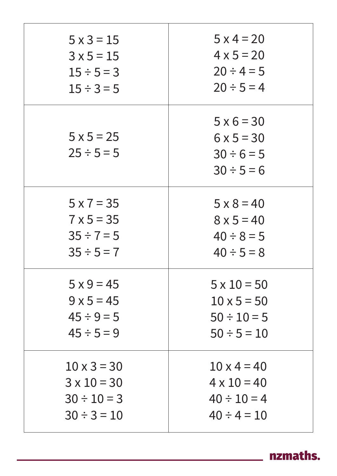| $5 \times 3 = 15$                    | $5 \times 4 = 20$                                                            |
|--------------------------------------|------------------------------------------------------------------------------|
| $3x5=15$                             | $4 \times 5 = 20$                                                            |
| $15 \div 5 = 3$                      | $20 \div 4 = 5$                                                              |
| $15 \div 3 = 5$                      | $20 \div 5 = 4$                                                              |
| $5 \times 5 = 25$<br>$25 \div 5 = 5$ | $5 \times 6 = 30$<br>$6 \times 5 = 30$<br>$30 \div 6 = 5$<br>$30 \div 5 = 6$ |
| $5 \times 7 = 35$                    | $5 \times 8 = 40$                                                            |
| $7 \times 5 = 35$                    | $8 \times 5 = 40$                                                            |
| $35 \div 7 = 5$                      | $40 \div 8 = 5$                                                              |
| $35 \div 5 = 7$                      | $40 \div 5 = 8$                                                              |
| $5 \times 9 = 45$                    | $5 \times 10 = 50$                                                           |
| $9 \times 5 = 45$                    | $10 \times 5 = 50$                                                           |
| $45 \div 9 = 5$                      | $50 \div 10 = 5$                                                             |
| $45 \div 5 = 9$                      | $50 \div 5 = 10$                                                             |
| $10 \times 3 = 30$                   | $10 \times 4 = 40$                                                           |
| $3 \times 10 = 30$                   | $4 \times 10 = 40$                                                           |
| $30 \div 10 = 3$                     | $40 \div 10 = 4$                                                             |
| $30 \div 3 = 10$                     | $40 \div 4 = 10$                                                             |